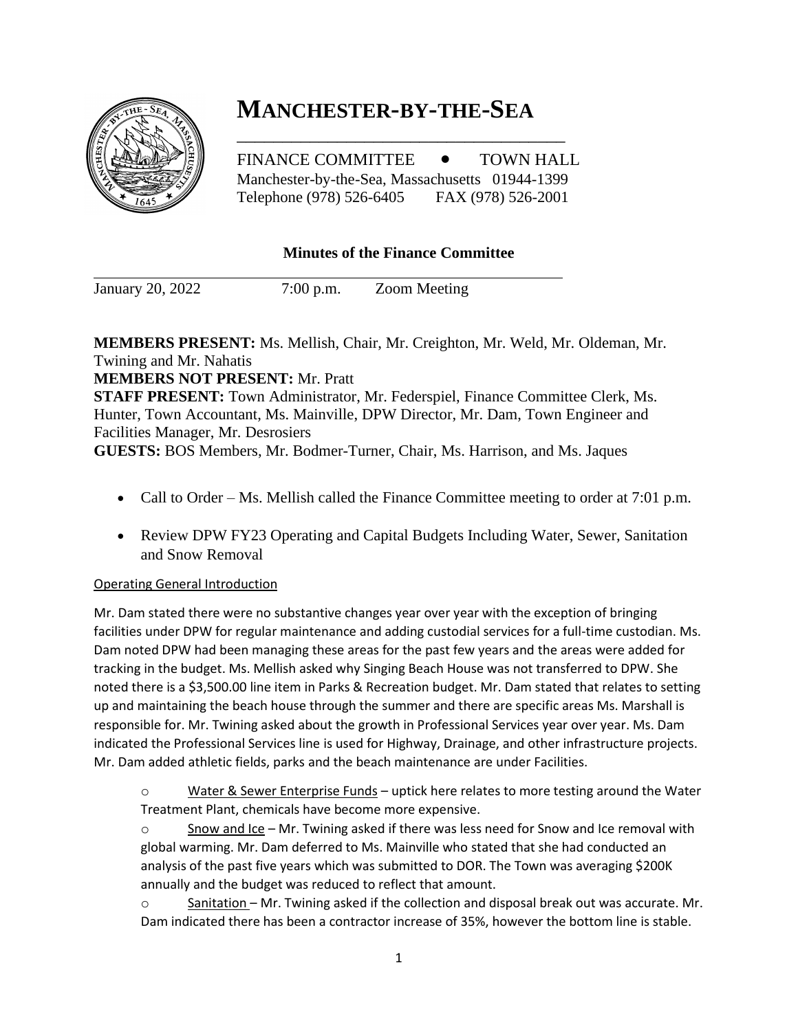## **MANCHESTER-BY-THE-SEA** \_\_\_\_\_\_\_\_\_\_\_\_\_\_\_\_\_\_\_\_\_\_\_\_\_\_\_\_\_\_\_\_\_\_\_\_



FINANCE COMMITTEE  $\bullet$  TOWN HALL Manchester-by-the-Sea, Massachusetts 01944-1399 Telephone (978) 526-6405 FAX (978) 526-2001

## **Minutes of the Finance Committee**

January 20, 2022 7:00 p.m. Zoom Meeting

**MEMBERS PRESENT:** Ms. Mellish, Chair, Mr. Creighton, Mr. Weld, Mr. Oldeman, Mr. Twining and Mr. Nahatis

**MEMBERS NOT PRESENT:** Mr. Pratt

**STAFF PRESENT:** Town Administrator, Mr. Federspiel, Finance Committee Clerk, Ms. Hunter, Town Accountant, Ms. Mainville, DPW Director, Mr. Dam, Town Engineer and Facilities Manager, Mr. Desrosiers

**GUESTS:** BOS Members, Mr. Bodmer-Turner, Chair, Ms. Harrison, and Ms. Jaques

- Call to Order Ms. Mellish called the Finance Committee meeting to order at 7:01 p.m.
- Review DPW FY23 Operating and Capital Budgets Including Water, Sewer, Sanitation and Snow Removal

## Operating General Introduction

Mr. Dam stated there were no substantive changes year over year with the exception of bringing facilities under DPW for regular maintenance and adding custodial services for a full-time custodian. Ms. Dam noted DPW had been managing these areas for the past few years and the areas were added for tracking in the budget. Ms. Mellish asked why Singing Beach House was not transferred to DPW. She noted there is a \$3,500.00 line item in Parks & Recreation budget. Mr. Dam stated that relates to setting up and maintaining the beach house through the summer and there are specific areas Ms. Marshall is responsible for. Mr. Twining asked about the growth in Professional Services year over year. Ms. Dam indicated the Professional Services line is used for Highway, Drainage, and other infrastructure projects. Mr. Dam added athletic fields, parks and the beach maintenance are under Facilities.

 $\circ$  Water & Sewer Enterprise Funds – uptick here relates to more testing around the Water Treatment Plant, chemicals have become more expensive.

 $\circ$  Snow and Ice – Mr. Twining asked if there was less need for Snow and Ice removal with global warming. Mr. Dam deferred to Ms. Mainville who stated that she had conducted an analysis of the past five years which was submitted to DOR. The Town was averaging \$200K annually and the budget was reduced to reflect that amount.

 $\circ$  Sanitation – Mr. Twining asked if the collection and disposal break out was accurate. Mr. Dam indicated there has been a contractor increase of 35%, however the bottom line is stable.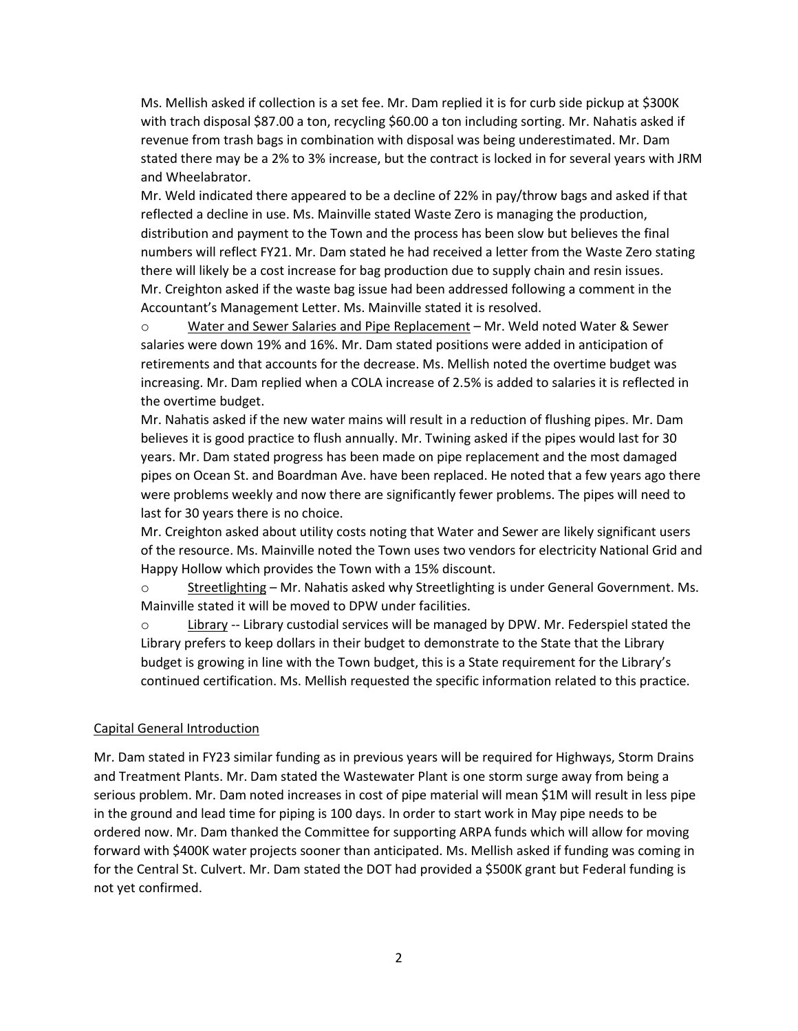Ms. Mellish asked if collection is a set fee. Mr. Dam replied it is for curb side pickup at \$300K with trach disposal \$87.00 a ton, recycling \$60.00 a ton including sorting. Mr. Nahatis asked if revenue from trash bags in combination with disposal was being underestimated. Mr. Dam stated there may be a 2% to 3% increase, but the contract is locked in for several years with JRM and Wheelabrator.

Mr. Weld indicated there appeared to be a decline of 22% in pay/throw bags and asked if that reflected a decline in use. Ms. Mainville stated Waste Zero is managing the production, distribution and payment to the Town and the process has been slow but believes the final numbers will reflect FY21. Mr. Dam stated he had received a letter from the Waste Zero stating there will likely be a cost increase for bag production due to supply chain and resin issues. Mr. Creighton asked if the waste bag issue had been addressed following a comment in the Accountant's Management Letter. Ms. Mainville stated it is resolved.

o Water and Sewer Salaries and Pipe Replacement – Mr. Weld noted Water & Sewer salaries were down 19% and 16%. Mr. Dam stated positions were added in anticipation of retirements and that accounts for the decrease. Ms. Mellish noted the overtime budget was increasing. Mr. Dam replied when a COLA increase of 2.5% is added to salaries it is reflected in the overtime budget.

Mr. Nahatis asked if the new water mains will result in a reduction of flushing pipes. Mr. Dam believes it is good practice to flush annually. Mr. Twining asked if the pipes would last for 30 years. Mr. Dam stated progress has been made on pipe replacement and the most damaged pipes on Ocean St. and Boardman Ave. have been replaced. He noted that a few years ago there were problems weekly and now there are significantly fewer problems. The pipes will need to last for 30 years there is no choice.

Mr. Creighton asked about utility costs noting that Water and Sewer are likely significant users of the resource. Ms. Mainville noted the Town uses two vendors for electricity National Grid and Happy Hollow which provides the Town with a 15% discount.

 $\circ$  Streetlighting – Mr. Nahatis asked why Streetlighting is under General Government. Ms. Mainville stated it will be moved to DPW under facilities.

 $\circ$  Library -- Library custodial services will be managed by DPW. Mr. Federspiel stated the Library prefers to keep dollars in their budget to demonstrate to the State that the Library budget is growing in line with the Town budget, this is a State requirement for the Library's continued certification. Ms. Mellish requested the specific information related to this practice.

## Capital General Introduction

Mr. Dam stated in FY23 similar funding as in previous years will be required for Highways, Storm Drains and Treatment Plants. Mr. Dam stated the Wastewater Plant is one storm surge away from being a serious problem. Mr. Dam noted increases in cost of pipe material will mean \$1M will result in less pipe in the ground and lead time for piping is 100 days. In order to start work in May pipe needs to be ordered now. Mr. Dam thanked the Committee for supporting ARPA funds which will allow for moving forward with \$400K water projects sooner than anticipated. Ms. Mellish asked if funding was coming in for the Central St. Culvert. Mr. Dam stated the DOT had provided a \$500K grant but Federal funding is not yet confirmed.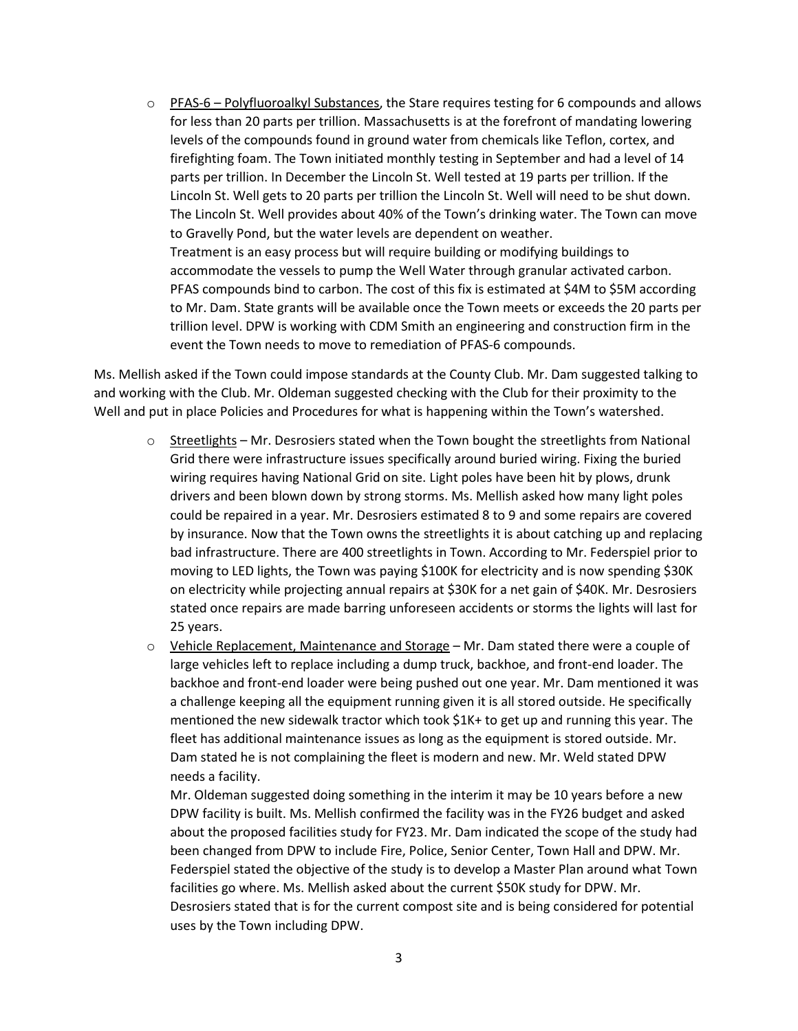$\circ$  PFAS-6 – Polyfluoroalkyl Substances, the Stare requires testing for 6 compounds and allows for less than 20 parts per trillion. Massachusetts is at the forefront of mandating lowering levels of the compounds found in ground water from chemicals like Teflon, cortex, and firefighting foam. The Town initiated monthly testing in September and had a level of 14 parts per trillion. In December the Lincoln St. Well tested at 19 parts per trillion. If the Lincoln St. Well gets to 20 parts per trillion the Lincoln St. Well will need to be shut down. The Lincoln St. Well provides about 40% of the Town's drinking water. The Town can move to Gravelly Pond, but the water levels are dependent on weather. Treatment is an easy process but will require building or modifying buildings to accommodate the vessels to pump the Well Water through granular activated carbon. PFAS compounds bind to carbon. The cost of this fix is estimated at \$4M to \$5M according to Mr. Dam. State grants will be available once the Town meets or exceeds the 20 parts per trillion level. DPW is working with CDM Smith an engineering and construction firm in the event the Town needs to move to remediation of PFAS-6 compounds.

Ms. Mellish asked if the Town could impose standards at the County Club. Mr. Dam suggested talking to and working with the Club. Mr. Oldeman suggested checking with the Club for their proximity to the Well and put in place Policies and Procedures for what is happening within the Town's watershed.

- $\circ$  Streetlights Mr. Desrosiers stated when the Town bought the streetlights from National Grid there were infrastructure issues specifically around buried wiring. Fixing the buried wiring requires having National Grid on site. Light poles have been hit by plows, drunk drivers and been blown down by strong storms. Ms. Mellish asked how many light poles could be repaired in a year. Mr. Desrosiers estimated 8 to 9 and some repairs are covered by insurance. Now that the Town owns the streetlights it is about catching up and replacing bad infrastructure. There are 400 streetlights in Town. According to Mr. Federspiel prior to moving to LED lights, the Town was paying \$100K for electricity and is now spending \$30K on electricity while projecting annual repairs at \$30K for a net gain of \$40K. Mr. Desrosiers stated once repairs are made barring unforeseen accidents or storms the lights will last for 25 years.
- $\circ$  Vehicle Replacement, Maintenance and Storage Mr. Dam stated there were a couple of large vehicles left to replace including a dump truck, backhoe, and front-end loader. The backhoe and front-end loader were being pushed out one year. Mr. Dam mentioned it was a challenge keeping all the equipment running given it is all stored outside. He specifically mentioned the new sidewalk tractor which took \$1K+ to get up and running this year. The fleet has additional maintenance issues as long as the equipment is stored outside. Mr. Dam stated he is not complaining the fleet is modern and new. Mr. Weld stated DPW needs a facility.

Mr. Oldeman suggested doing something in the interim it may be 10 years before a new DPW facility is built. Ms. Mellish confirmed the facility was in the FY26 budget and asked about the proposed facilities study for FY23. Mr. Dam indicated the scope of the study had been changed from DPW to include Fire, Police, Senior Center, Town Hall and DPW. Mr. Federspiel stated the objective of the study is to develop a Master Plan around what Town facilities go where. Ms. Mellish asked about the current \$50K study for DPW. Mr. Desrosiers stated that is for the current compost site and is being considered for potential uses by the Town including DPW.